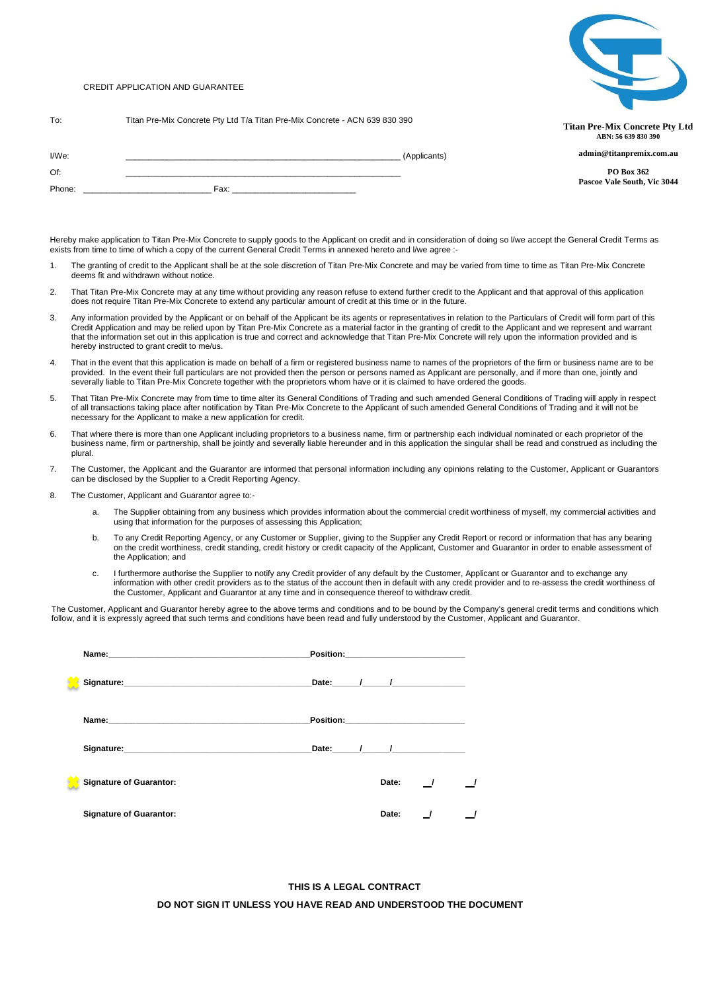# CREDIT APPLICATION AND GUARANTEE



To: Titan Pre-Mix Concrete Pty Ltd T/a Titan Pre-Mix Concrete - ACN 639 830 390

**Titan Pre-Mix Concrete Pty Ltd ABN: 56 639 830 390 admin@titanpremix.com.au**

> **PO Box 362 Pascoe Vale South, Vic 3044**

| I/We:  | (Applicants) |
|--------|--------------|
| Of:    |              |
| Phone: | Fax:<br>____ |

Hereby make application to Titan Pre-Mix Concrete to supply goods to the Applicant on credit and in consideration of doing so I/we accept the General Credit Terms as exists from time to time of which a copy of the current General Credit Terms in annexed hereto and I/we agree :-

- 1. The granting of credit to the Applicant shall be at the sole discretion of Titan Pre-Mix Concrete and may be varied from time to time as Titan Pre-Mix Concrete deems fit and withdrawn without notice.
- 2. That Titan Pre-Mix Concrete may at any time without providing any reason refuse to extend further credit to the Applicant and that approval of this application does not require Titan Pre-Mix Concrete to extend any particular amount of credit at this time or in the future.
- 3. Any information provided by the Applicant or on behalf of the Applicant be its agents or representatives in relation to the Particulars of Credit will form part of this Credit Application and may be relied upon by Titan Pre-Mix Concrete as a material factor in the granting of credit to the Applicant and we represent and warrant that the information set out in this application is true and correct and acknowledge that Titan Pre-Mix Concrete will rely upon the information provided and is hereby instructed to grant credit to me/us.
- 4. That in the event that this application is made on behalf of a firm or registered business name to names of the proprietors of the firm or business name are to be provided. In the event their full particulars are not provided then the person or persons named as Applicant are personally, and if more than one, jointly and severally liable to Titan Pre-Mix Concrete together with the proprietors whom have or it is claimed to have ordered the goods.
- 5. That Titan Pre-Mix Concrete may from time to time alter its General Conditions of Trading and such amended General Conditions of Trading will apply in respect<br>of all transactions taking place after notification by Titan necessary for the Applicant to make a new application for credit.
- 6. That where there is more than one Applicant including proprietors to a business name, firm or partnership each individual nominated or each proprietor of the business name, firm or partnership, shall be jointly and severally liable hereunder and in this application the singular shall be read and construed as including the plural.
- 7. The Customer, the Applicant and the Guarantor are informed that personal information including any opinions relating to the Customer, Applicant or Guarantors can be disclosed by the Supplier to a Credit Reporting Agency.
- 8. The Customer, Applicant and Guarantor agree to:
	- a. The Supplier obtaining from any business which provides information about the commercial credit worthiness of myself, my commercial activities and using that information for the purposes of assessing this Application;
	- To any Credit Reporting Agency, or any Customer or Supplier, giving to the Supplier any Credit Report or record or information that has any bearing on the credit worthiness, credit standing, credit history or credit capacity of the Applicant, Customer and Guarantor in order to enable assessment of the Application; and
	- c. I furthermore authorise the Supplier to notify any Credit provider of any default by the Customer, Applicant or Guarantor and to exchange any information with other credit providers as to the status of the account then in default with any credit provider and to re-assess the credit worthiness of the Customer, Applicant and Guarantor at any time and in consequence thereof to withdraw credit.

The Customer, Applicant and Guarantor hereby agree to the above terms and conditions and to be bound by the Company's general credit terms and conditions which follow, and it is expressly agreed that such terms and conditions have been read and fully understood by the Customer, Applicant and Guarantor.

|                                | Date: $\qquad \qquad$ / $\qquad \qquad$ |         |                |  |
|--------------------------------|-----------------------------------------|---------|----------------|--|
|                                |                                         |         |                |  |
|                                | Date: / /                               |         |                |  |
| <b>Signature of Guarantor:</b> |                                         | Date: / |                |  |
| <b>Signature of Guarantor:</b> |                                         | Date:   | $\overline{1}$ |  |

**THIS IS A LEGAL CONTRACT DO NOT SIGN IT UNLESS YOU HAVE READ AND UNDERSTOOD THE DOCUMENT**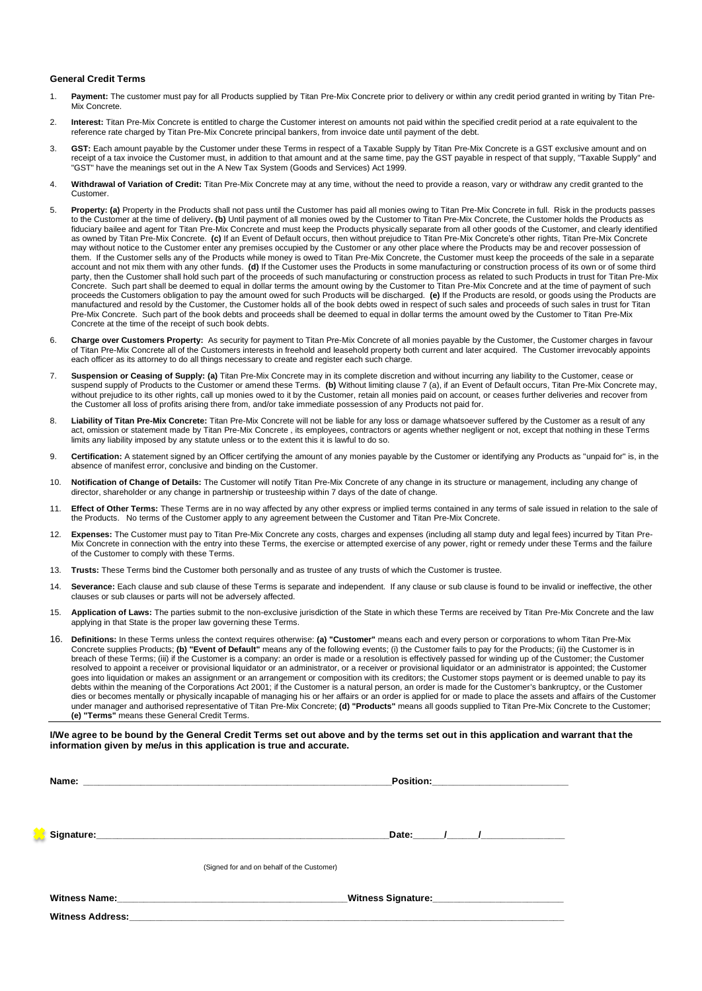## **General Credit Terms**

- 1. **Payment:** The customer must pay for all Products supplied by Titan Pre-Mix Concrete prior to delivery or within any credit period granted in writing by Titan Pre-Mix Concrete.
- 2. **Interest:** Titan Pre-Mix Concrete is entitled to charge the Customer interest on amounts not paid within the specified credit period at a rate equivalent to the reference rate charged by Titan Pre-Mix Concrete principal bankers, from invoice date until payment of the debt.
- 3. **GST:** Each amount payable by the Customer under these Terms in respect of a Taxable Supply by Titan Pre-Mix Concrete is a GST exclusive amount and on receipt of a tax invoice the Customer must, in addition to that amount and at the same time, pay the GST payable in respect of that supply, "Taxable Supply" and "GST" have the meanings set out in the A New Tax System (Goods and Services) Act 1999.
- 4. **Withdrawal of Variation of Credit:** Titan Pre-Mix Concrete may at any time, without the need to provide a reason, vary or withdraw any credit granted to the Customer.
- 5. **Property: (a)** Property in the Products shall not pass until the Customer has paid all monies owing to Titan Pre-Mix Concrete in full. Risk in the products passes to the Customer at the time of delivery**. (b)** Until payment of all monies owed by the Customer to Titan Pre-Mix Concrete, the Customer holds the Products as fiduciary bailee and agent for Titan Pre-Mix Concrete and must keep the Products physically separate from all other goods of the Customer, and clearly identified as owned by Titan Pre-Mix Concrete. **(c)** If an Event of Default occurs, then without prejudice to Titan Pre-Mix Concrete's other rights, Titan Pre-Mix Concrete may without notice to the Customer enter any premises occupied by the Customer or any other place where the Products may be and recover possession of them. If the Customer sells any of the Products while money is owed to Titan Pre-Mix Concrete, the Customer must keep the proceeds of the sale in a separate account and not mix them with any other funds. **(d)** If the Customer uses the Products in some manufacturing or construction process of its own or of some third party, then the Customer shall hold such part of the proceeds of such manufacturing or construction process as related to such Products in trust for Titan Pre-Mix Concrete. Such part shall be deemed to equal in dollar terms the amount owing by the Customer to Titan Pre-Mix Concrete and at the time of payment of such proceeds the Customers obligation to pay the amount owed for such Products will be discharged. **(e)** If the Products are resold, or goods using the Products are manufactured and resold by the Customer, the Customer holds all of the book debts owed in respect of such sales and proceeds of such sales in trust for Titan Pre-Mix Concrete. Such part of the book debts and proceeds shall be deemed to equal in dollar terms the amount owed by the Customer to Titan Pre-Mix Concrete at the time of the receipt of such book debts.
- 6. **Charge over Customers Property:** As security for payment to Titan Pre-Mix Concrete of all monies payable by the Customer, the Customer charges in favour of Titan Pre-Mix Concrete all of the Customers interests in freehold and leasehold property both current and later acquired. The Customer irrevocably appoints each officer as its attorney to do all things necessary to create and register each such charge.
- 7. **Suspension or Ceasing of Supply: (a)** Titan Pre-Mix Concrete may in its complete discretion and without incurring any liability to the Customer, cease or suspend supply of Products to the Customer or amend these Terms. **(b)** Without limiting clause 7 (a), if an Event of Default occurs, Titan Pre-Mix Concrete may, without prejudice to its other rights, call up monies owed to it by the Customer, retain all monies paid on account, or ceases further deliveries and recover from the Customer all loss of profits arising there from, and/or take immediate possession of any Products not paid for.
- 8. **Liability of Titan Pre-Mix Concrete:** Titan Pre-Mix Concrete will not be liable for any loss or damage whatsoever suffered by the Customer as a result of any act, omission or statement made by Titan Pre-Mix Concrete , its employees, contractors or agents whether negligent or not, except that nothing in these Terms limits any liability imposed by any statute unless or to the extent this it is lawful to do so.
- 9. **Certification:** A statement signed by an Officer certifying the amount of any monies payable by the Customer or identifying any Products as "unpaid for" is, in the absence of manifest error, conclusive and binding on the Customer.
- 10. **Notification of Change of Details:** The Customer will notify Titan Pre-Mix Concrete of any change in its structure or management, including any change of director, shareholder or any change in partnership or trusteeship within 7 days of the date of change.
- 11. **Effect of Other Terms:** These Terms are in no way affected by any other express or implied terms contained in any terms of sale issued in relation to the sale of the Products. No terms of the Customer apply to any agreement between the Customer and Titan Pre-Mix Concrete.
- 12. **Expenses:** The Customer must pay to Titan Pre-Mix Concrete any costs, charges and expenses (including all stamp duty and legal fees) incurred by Titan Pre-Mix Concrete in connection with the entry into these Terms, the exercise or attempted exercise of any power, right or remedy under these Terms and the failure of the Customer to comply with these Terms.
- 13. **Trusts:** These Terms bind the Customer both personally and as trustee of any trusts of which the Customer is trustee.
- 14. Severance: Each clause and sub clause of these Terms is separate and independent. If any clause or sub clause is found to be invalid or ineffective, the other clauses or sub clauses or parts will not be adversely affected.
- 15. **Application of Laws:** The parties submit to the non-exclusive jurisdiction of the State in which these Terms are received by Titan Pre-Mix Concrete and the law applying in that State is the proper law governing these Terms.
- 16. **Definitions:** In these Terms unless the context requires otherwise: **(a) "Customer"** means each and every person or corporations to whom Titan Pre-Mix Concrete supplies Products; **(b) "Event of Default"** means any of the following events; (i) the Customer fails to pay for the Products; (ii) the Customer is in breach of these Terms; (iii) if the Customer is a company: an order is made or a resolution is effectively passed for winding up of the Customer; the Customer<br>resolved to appoint a receiver or provisional liquidator or an goes into liquidation or makes an assignment or an arrangement or composition with its creditors; the Customer stops payment or is deemed unable to pay its debts within the meaning of the Corporations Act 2001; if the Customer is a natural person, an order is made for the Customer's bankruptcy, or the Customer dies or becomes mentally or physically incapable of managing his or her affairs or an order is applied for or made to place the assets and affairs of the Customer under manager and authorised representative of Titan Pre-Mix Concrete; **(d) "Products"** means all goods supplied to Titan Pre-Mix Concrete to the Customer; **(e) "Terms"** means these General Credit Terms.

**I/We agree to be bound by the General Credit Terms set out above and by the terms set out in this application and warrant that the information given by me/us in this application is true and accurate.**

|                         | Date: $\frac{1}{\sqrt{2}}$ $\frac{1}{\sqrt{2}}$ $\frac{1}{\sqrt{2}}$ $\frac{1}{\sqrt{2}}$ $\frac{1}{\sqrt{2}}$ $\frac{1}{\sqrt{2}}$ $\frac{1}{\sqrt{2}}$ $\frac{1}{\sqrt{2}}$ $\frac{1}{\sqrt{2}}$ $\frac{1}{\sqrt{2}}$ $\frac{1}{\sqrt{2}}$ $\frac{1}{\sqrt{2}}$ $\frac{1}{\sqrt{2}}$ $\frac{1}{\sqrt{2}}$ $\frac{1}{\sqrt{2}}$ $\frac{1}{\sqrt{2}}$ $\frac{1}{\$ |
|-------------------------|--------------------------------------------------------------------------------------------------------------------------------------------------------------------------------------------------------------------------------------------------------------------------------------------------------------------------------------------------------------------|
|                         |                                                                                                                                                                                                                                                                                                                                                                    |
|                         | (Signed for and on behalf of the Customer)                                                                                                                                                                                                                                                                                                                         |
|                         |                                                                                                                                                                                                                                                                                                                                                                    |
|                         | Witness Signature: Witness Signature:                                                                                                                                                                                                                                                                                                                              |
| <b>Witness Address:</b> |                                                                                                                                                                                                                                                                                                                                                                    |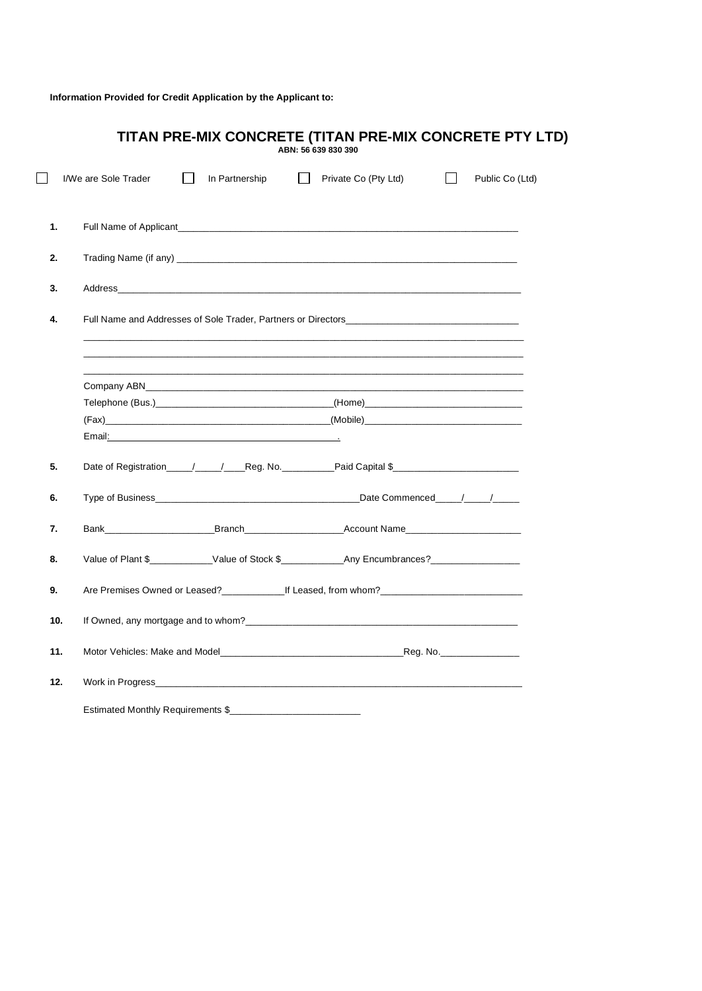**Information Provided for Credit Application by the Applicant to:**

|     | TITAN PRE-MIX CONCRETE (TITAN PRE-MIX CONCRETE PTY LTD)<br>ABN: 56 639 830 390                                                                                                                                                                 |
|-----|------------------------------------------------------------------------------------------------------------------------------------------------------------------------------------------------------------------------------------------------|
|     | Private Co (Pty Ltd)<br>I/We are Sole Trader<br>In Partnership<br>$\Box$<br>Public Co (Ltd)                                                                                                                                                    |
| 1.  |                                                                                                                                                                                                                                                |
| 2.  |                                                                                                                                                                                                                                                |
| 3.  |                                                                                                                                                                                                                                                |
| 4.  |                                                                                                                                                                                                                                                |
|     | Company ABN                                                                                                                                                                                                                                    |
|     |                                                                                                                                                                                                                                                |
| 5.  | Date of Registration_____/____/____Reg. No.___________Paid Capital \$________________________________                                                                                                                                          |
| 6.  |                                                                                                                                                                                                                                                |
| 7.  | Bank <b>Branch</b> Branch <b>Communist Example 2006</b> and Branch <b>Communist Communist Communist Communist Communist Communist Communist Communist Communist Communist Communist Communist Communist Communist Communist Communist Comm</b> |
| 8.  | Value of Plant \$____________Value of Stock \$_____________Any Encumbrances?_________________________                                                                                                                                          |
| 9.  | Are Premises Owned or Leased?_______________If Leased, from whom?___________________________________                                                                                                                                           |
| 10. | If Owned, any mortgage and to whom?                                                                                                                                                                                                            |
| 11. | Motor Vehicles: Make and Model <b>Example 20 You be a set of the COVID-200</b> Reg. No.                                                                                                                                                        |
| 12. |                                                                                                                                                                                                                                                |
|     | Estimated Monthly Requirements \$                                                                                                                                                                                                              |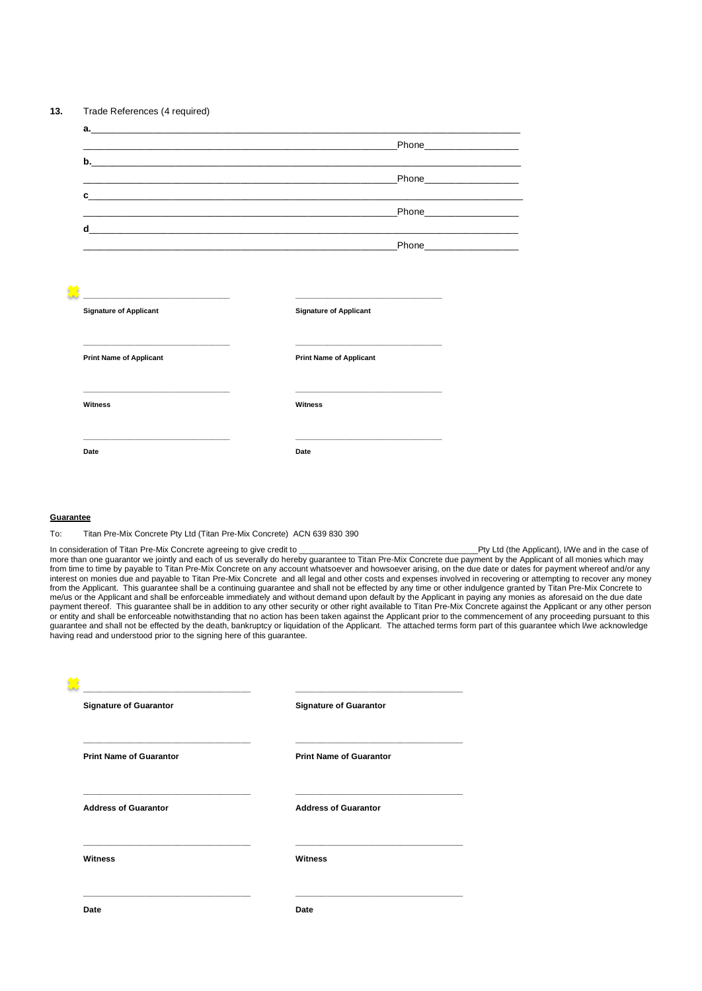|                                                            | _Phone_____________________                                                                                                                                                                                                                                                                          |
|------------------------------------------------------------|------------------------------------------------------------------------------------------------------------------------------------------------------------------------------------------------------------------------------------------------------------------------------------------------------|
|                                                            |                                                                                                                                                                                                                                                                                                      |
|                                                            | Phone___________________                                                                                                                                                                                                                                                                             |
|                                                            | $\mathbf{c}$ , and the contract of the contract of the contract of the contract of the contract of the contract of the contract of the contract of the contract of the contract of the contract of the contract of the contract o<br><u> 1980 - Johann Harrison, martin al-Amerikaansk filozof (</u> |
|                                                            | Phone___________________                                                                                                                                                                                                                                                                             |
|                                                            |                                                                                                                                                                                                                                                                                                      |
|                                                            | _Phone_____________________<br><u> 2000 - Andreas Andrews Andrews Andrews Andrews Andrews Andrews Andrews Andrews Andrews Andrews Andrews Andrew</u>                                                                                                                                                 |
|                                                            |                                                                                                                                                                                                                                                                                                      |
|                                                            |                                                                                                                                                                                                                                                                                                      |
| <u> 1999 - Johann John Stone, mensk politik fotograf (</u> |                                                                                                                                                                                                                                                                                                      |
| <b>Signature of Applicant</b>                              | <b>Signature of Applicant</b>                                                                                                                                                                                                                                                                        |
|                                                            |                                                                                                                                                                                                                                                                                                      |
|                                                            |                                                                                                                                                                                                                                                                                                      |
| <b>Print Name of Applicant</b>                             | <b>Print Name of Applicant</b>                                                                                                                                                                                                                                                                       |
|                                                            |                                                                                                                                                                                                                                                                                                      |
|                                                            |                                                                                                                                                                                                                                                                                                      |
| <b>Witness</b>                                             | Witness                                                                                                                                                                                                                                                                                              |

## **Guarantee**

To: Titan Pre-Mix Concrete Pty Ltd (Titan Pre-Mix Concrete) ACN 639 830 390

**Date Date**

In consideration of Titan Pre-Mix Concrete agreeing to give credit to \_\_\_\_\_\_\_\_\_\_\_\_\_\_\_\_\_\_\_\_\_\_\_\_\_\_\_\_\_\_\_\_\_\_\_\_\_\_\_Pty Ltd (the Applicant), I/We and in the case of more than one guarantor we jointly and each of us severally do hereby guarantee to Titan Pre-Mix Concrete due payment by the Applicant of all monies which may<br>from time to time by payable to Titan Pre-Mix Concrete on any a interest on monies due and payable to Titan Pre-Mix Concrete and all legal and other costs and expenses involved in recovering or attempting to recover any money from the Applicant. This guarantee shall be a continuing guarantee and shall not be effected by any time or other indulgence granted by Titan Pre-Mix Concrete to me/us or the Applicant and shall be enforceable immediately and without demand upon default by the Applicant in paying any monies as aforesaid on the due date<br>payment thereof. This guarantee shall be in addition to any oth or entity and shall be enforceable notwithstanding that no action has been taken against the Applicant prior to the commencement of any proceeding pursuant to this guarantee and shall not be effected by the death, bankruptcy or liquidation of the Applicant. The attached terms form part of this guarantee which l/we acknowledge having read and understood prior to the signing here of this guarantee.

| <b>Signature of Guarantor</b>  | <b>Signature of Guarantor</b>  |
|--------------------------------|--------------------------------|
| <b>Print Name of Guarantor</b> | <b>Print Name of Guarantor</b> |
| <b>Address of Guarantor</b>    | <b>Address of Guarantor</b>    |
| Witness                        | Witness                        |
| Date                           | Date                           |